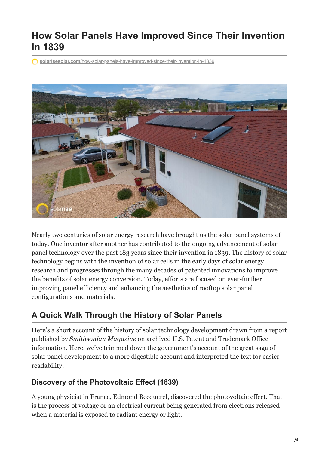# **How Solar Panels Have Improved Since Their Invention In 1839**

**solarisesolar.com**[/how-solar-panels-have-improved-since-their-invention-in-1839](https://www.solarisesolar.com/how-solar-panels-have-improved-since-their-invention-in-1839/)



Nearly two centuries of solar energy research have brought us the solar panel systems of today. One inventor after another has contributed to the ongoing advancement of solar panel technology over the past 183 years since their invention in 1839. The history of solar technology begins with the invention of solar cells in the early days of solar energy research and progresses through the many decades of patented innovations to improve the [benefits of solar energy](https://www.solarisesolar.com/solar-benefits/) conversion. Today, efforts are focused on ever-further improving panel efficiency and enhancing the aesthetics of rooftop solar panel configurations and materials.

## **A Quick Walk Through the History of Solar Panels**

Here's a short account of the history of solar technology development drawn from a [report](https://www.smithsonianmag.com/sponsored/brief-history-solar-panels-180972006) published by *Smithsonian Magazine* on archived U.S. Patent and Trademark Office information. Here, we've trimmed down the government's account of the great saga of solar panel development to a more digestible account and interpreted the text for easier readability:

## **Discovery of the Photovoltaic Effect (1839)**

A young physicist in France, Edmond Becquerel, discovered the photovoltaic effect. That is the process of voltage or an electrical current being generated from electrons released when a material is exposed to radiant energy or light.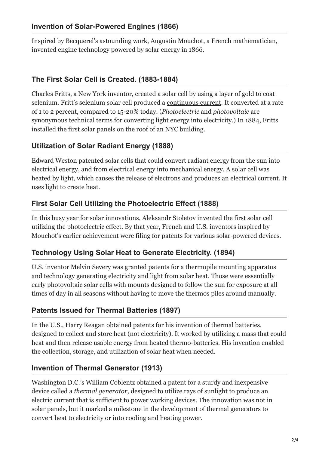#### **Invention of Solar-Powered Engines (1866)**

Inspired by Becquerel's astounding work, Augustin Mouchot, a French mathematician, invented engine technology powered by solar energy in 1866.

### **The First Solar Cell is Created. (1883-1884)**

Charles Fritts, a New York inventor, created a solar cell by using a layer of gold to coat selenium. Fritt's selenium solar cell produced a [continuous current.](https://www.solarisesolar.com/can-i-run-my-whole-house-on-solar-power/) It converted at a rate of 1 to 2 percent, compared to 15-20% today. (*Photoelectric* and *photovoltaic* are synonymous technical terms for converting light energy into electricity.) In 1884, Fritts installed the first solar panels on the roof of an NYC building.

#### **Utilization of Solar Radiant Energy (1888)**

Edward Weston patented solar cells that could convert radiant energy from the sun into electrical energy, and from electrical energy into mechanical energy. A solar cell was heated by light, which causes the release of electrons and produces an electrical current. It uses light to create heat.

#### **First Solar Cell Utilizing the Photoelectric Effect (1888)**

In this busy year for solar innovations, Aleksandr Stoletov invented the first solar cell utilizing the photoelectric effect. By that year, French and U.S. inventors inspired by Mouchot's earlier achievement were filing for patents for various solar-powered devices.

### **Technology Using Solar Heat to Generate Electricity. (1894)**

U.S. inventor Melvin Severy was granted patents for a thermopile mounting apparatus and technology generating electricity and light from solar heat. Those were essentially early photovoltaic solar cells with mounts designed to follow the sun for exposure at all times of day in all seasons without having to move the thermos piles around manually.

#### **Patents Issued for Thermal Batteries (1897)**

In the U.S., Harry Reagan obtained patents for his invention of thermal batteries, designed to collect and store heat (not electricity). It worked by utilizing a mass that could heat and then release usable energy from heated thermo-batteries. His invention enabled the collection, storage, and utilization of solar heat when needed.

#### **Invention of Thermal Generator (1913)**

Washington D.C.'s William Coblentz obtained a patent for a sturdy and inexpensive device called a *thermal generator,* designed to utilize rays of sunlight to produce an electric current that is sufficient to power working devices. The innovation was not in solar panels, but it marked a milestone in the development of thermal generators to convert heat to electricity or into cooling and heating power.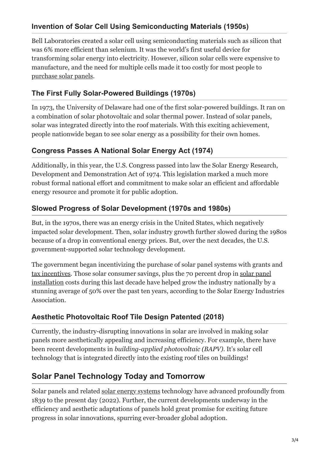## **Invention of Solar Cell Using Semiconducting Materials (1950s)**

Bell Laboratories created a solar cell using semiconducting materials such as silicon that was 6% more efficient than selenium. It was the world's first useful device for transforming solar energy into electricity. However, silicon solar cells were expensive to manufacture, and the need for multiple cells made it too costly for most people to [purchase solar panels](https://www.solarisesolar.com/how-much-do-solar-panels-cost/).

## **The First Fully Solar-Powered Buildings (1970s)**

In 1973, the University of Delaware had one of the first solar-powered buildings. It ran on a combination of solar photovoltaic and solar thermal power. Instead of solar panels, solar was integrated directly into the roof materials. With this exciting achievement, people nationwide began to see solar energy as a possibility for their own homes.

### **Congress Passes A National Solar Energy Act (1974)**

Additionally, in this year, the U.S. Congress passed into law the Solar Energy Research, Development and Demonstration Act of 1974. This legislation marked a much more robust formal national effort and commitment to make solar an efficient and affordable energy resource and promote it for public adoption.

## **Slowed Progress of Solar Development (1970s and 1980s)**

But, in the 1970s, there was an energy crisis in the United States, which negatively impacted solar development. Then, solar industry growth further slowed during the 1980s because of a drop in conventional energy prices. But, over the next decades, the U.S. government-supported solar technology development.

The government began incentivizing the purchase of solar panel systems with grants and [tax incentives](https://www.solarisesolar.com/solar-tax-credits-in-colorado/)[. Those solar consumer savings, plus the 70 percent drop in solar panel](https://www.solarisesolar.com/residential-solar-panel-installation-in-colorado/) installation costs during this last decade have helped grow the industry nationally by a stunning average of 50% over the past ten years, according to the Solar Energy Industries Association.

## **Aesthetic Photovoltaic Roof Tile Design Patented (2018)**

Currently, the industry-disrupting innovations in solar are involved in making solar panels more aesthetically appealing and increasing efficiency. For example, there have been recent developments in *building-applied photovoltaic (BAPV)*. It's solar cell technology that is integrated directly into the existing roof tiles on buildings!

## **Solar Panel Technology Today and Tomorrow**

Solar panels and related [solar energy systems](https://www.solarisesolar.com/20-amazing-facts-about-solar-energy/) technology have advanced profoundly from 1839 to the present day (2022). Further, the current developments underway in the efficiency and aesthetic adaptations of panels hold great promise for exciting future progress in solar innovations, spurring ever-broader global adoption.